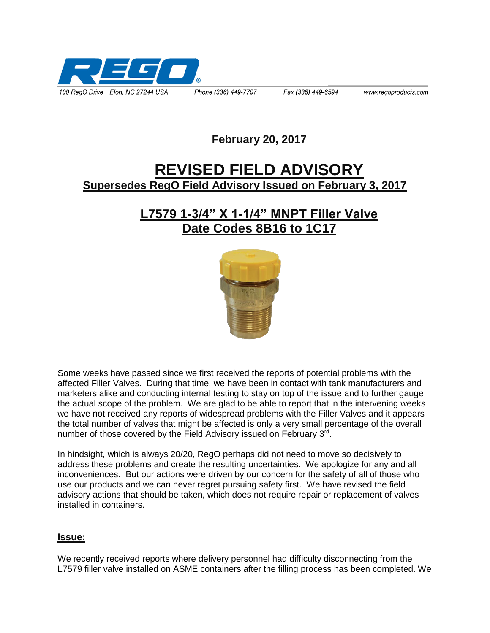

## **February 20, 2017**

# **REVISED FIELD ADVISORY Supersedes RegO Field Advisory Issued on February 3, 2017**

## **L7579 1-3/4" X 1-1/4" MNPT Filler Valve Date Codes 8B16 to 1C17**



Some weeks have passed since we first received the reports of potential problems with the affected Filler Valves. During that time, we have been in contact with tank manufacturers and marketers alike and conducting internal testing to stay on top of the issue and to further gauge the actual scope of the problem. We are glad to be able to report that in the intervening weeks we have not received any reports of widespread problems with the Filler Valves and it appears the total number of valves that might be affected is only a very small percentage of the overall number of those covered by the Field Advisory issued on February 3<sup>rd</sup>.

In hindsight, which is always 20/20, RegO perhaps did not need to move so decisively to address these problems and create the resulting uncertainties. We apologize for any and all inconveniences. But our actions were driven by our concern for the safety of all of those who use our products and we can never regret pursuing safety first. We have revised the field advisory actions that should be taken, which does not require repair or replacement of valves installed in containers.

#### **Issue:**

We recently received reports where delivery personnel had difficulty disconnecting from the L7579 filler valve installed on ASME containers after the filling process has been completed. We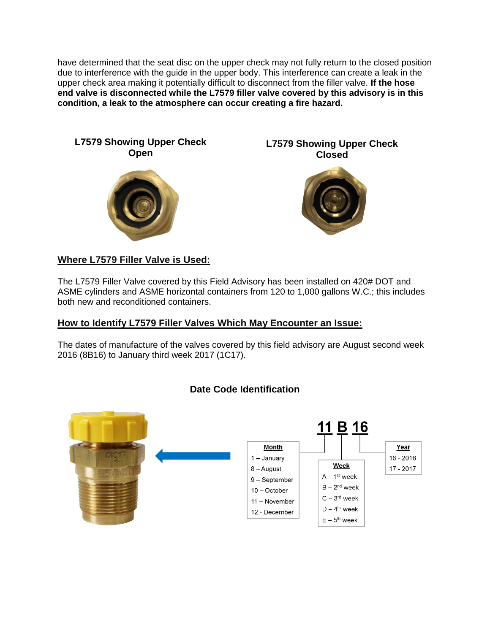have determined that the seat disc on the upper check may not fully return to the closed position due to interference with the guide in the upper body. This interference can create a leak in the upper check area making it potentially difficult to disconnect from the filler valve. **If the hose end valve is disconnected while the L7579 filler valve covered by this advisory is in this condition, a leak to the atmosphere can occur creating a fire hazard.** 



### **Where L7579 Filler Valve is Used:**

The L7579 Filler Valve covered by this Field Advisory has been installed on 420# DOT and ASME cylinders and ASME horizontal containers from 120 to 1,000 gallons W.C.; this includes both new and reconditioned containers.

#### **How to Identify L7579 Filler Valves Which May Encounter an Issue:**

The dates of manufacture of the valves covered by this field advisory are August second week 2016 (8B16) to January third week 2017 (1C17).



#### **Date Code Identification**